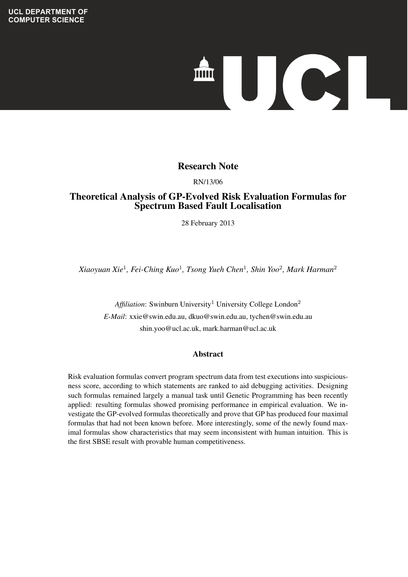# 

# **Evolving Expectral Species Species Species Species Species Species Species Species Species Species Species Species Species Species Species Species Species Species Species Species Species Species Species Species Species Sp**

**Techniques** RN/13/06

# Theoretical Analysis of GP-Evolved Risk Evaluation Formulas for Spectrum Based Fault Localisation

*Shin Yoo* 28 February 2013

*Xiaoyuan Xie*<sup>1</sup> *, Fei-Ching Kuo*<sup>1</sup> *, Tsong Yueh Chen*<sup>1</sup> *, Shin Yoo*<sup>2</sup> *, Mark Harman*<sup>2</sup>

**Affiliation:** Swinburn University<sup>1</sup> University College London<sup>2</sup> *E-Mail*: xxie@swin.edu.au, dkuo@swin.edu.au, tychen@swin.edu.au shin.yoo@ucl.ac.uk, mark.harman@ucl.ac.uk

### $\Delta$  betweet ranking statements according to the predicted risk. Designing a risk evaluation formula is Abstract

Risk evaluation formulas convert program spectrum data from test executions into suspiciousness score, according to which statements are ranked to aid debugging activities. Designing such formulas remained largely a manual task until Genetic Programming has been recently applied: resulting formulas showed promising performance in empirical evaluation. We investigate the GP-evolved formulas theoretically and prove that GP has produced four maximal formulas that had not been known before. More interestingly, some of the newly found maximal formulas show characteristics that may seem inconsistent with human intuition. This is the first SBSE result with provable human competitiveness.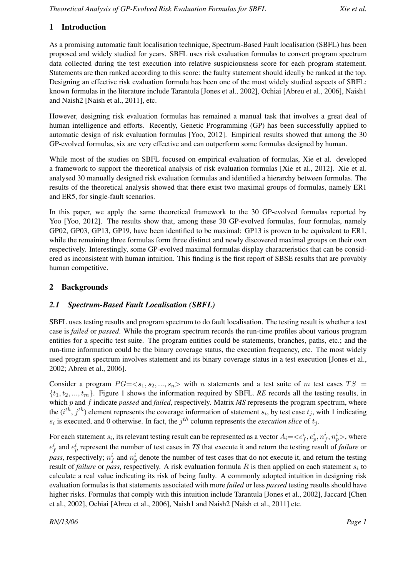# 1 Introduction

As a promising automatic fault localisation technique, Spectrum-Based Fault localisation (SBFL) has been proposed and widely studied for years. SBFL uses risk evaluation formulas to convert program spectrum data collected during the test execution into relative suspiciousness score for each program statement. Statements are then ranked according to this score: the faulty statement should ideally be ranked at the top. Designing an effective risk evaluation formula has been one of the most widely studied aspects of SBFL: known formulas in the literature include Tarantula [Jones et al., 2002], Ochiai [Abreu et al., 2006], Naish1 and Naish2 [Naish et al., 2011], etc.

However, designing risk evaluation formulas has remained a manual task that involves a great deal of human intelligence and efforts. Recently, Genetic Programming (GP) has been successfully applied to automatic design of risk evaluation formulas [Yoo, 2012]. Empirical results showed that among the 30 GP-evolved formulas, six are very effective and can outperform some formulas designed by human.

While most of the studies on SBFL focused on empirical evaluation of formulas, Xie et al. developed a framework to support the theoretical analysis of risk evaluation formulas [Xie et al., 2012]. Xie et al. analysed 30 manually designed risk evaluation formulas and identified a hierarchy between formulas. The results of the theoretical analysis showed that there exist two maximal groups of formulas, namely ER1 and ER5, for single-fault scenarios.

In this paper, we apply the same theoretical framework to the 30 GP-evolved formulas reported by Yoo [Yoo, 2012]. The results show that, among these 30 GP-evolved formulas, four formulas, namely GP02, GP03, GP13, GP19, have been identified to be maximal: GP13 is proven to be equivalent to ER1, while the remaining three formulas form three distinct and newly discovered maximal groups on their own respectively. Interestingly, some GP-evolved maximal formulas display characteristics that can be considered as inconsistent with human intuition. This finding is the first report of SBSE results that are provably human competitive.

# 2 Backgrounds

# *2.1 Spectrum-Based Fault Localisation (SBFL)*

SBFL uses testing results and program spectrum to do fault localisation. The testing result is whether a test case is *failed* or *passed*. While the program spectrum records the run-time profiles about various program entities for a specific test suite. The program entities could be statements, branches, paths, etc.; and the run-time information could be the binary coverage status, the execution frequency, etc. The most widely used program spectrum involves statement and its binary coverage status in a test execution [Jones et al., 2002; Abreu et al., 2006].

Consider a program  $PG=\langle s_1, s_2, ..., s_n\rangle$  with n statements and a test suite of m test cases  $TS =$  $\{t_1, t_2, ..., t_m\}$ . Figure 1 shows the information required by SBFL. *RE* records all the testing results, in which p and f indicate passed and failed, respectively. Matrix *MS* represents the program spectrum, where the  $(i<sup>th</sup>, j<sup>th</sup>)$  element represents the coverage information of statement  $s_i$ , by test case  $t_j$ , with 1 indicating  $s_i$  is executed, and 0 otherwise. In fact, the  $j<sup>th</sup>$  column represents the *execution slice* of  $t_j$ .

For each statement  $s_i$ , its relevant testing result can be represented as a vector  $A_i = \langle e_f^i, e_p^i, n_f^i, n_p^i \rangle$ , where  $e_f^i$  and  $e_p^i$  represent the number of test cases in *TS* that execute it and return the testing result of *failure* or *pass*, respectively;  $n_f^i$  and  $n_p^i$  denote the number of test cases that do not execute it, and return the testing result of *failure* or *pass*, respectively. A risk evaluation formula  $R$  is then applied on each statement  $s_i$  to calculate a real value indicating its risk of being faulty. A commonly adopted intuition in designing risk evaluation formulas is that statements associated with more *failed* or less *passed* testing results should have higher risks. Formulas that comply with this intuition include Tarantula [Jones et al., 2002], Jaccard [Chen et al., 2002], Ochiai [Abreu et al., 2006], Naish1 and Naish2 [Naish et al., 2011] etc.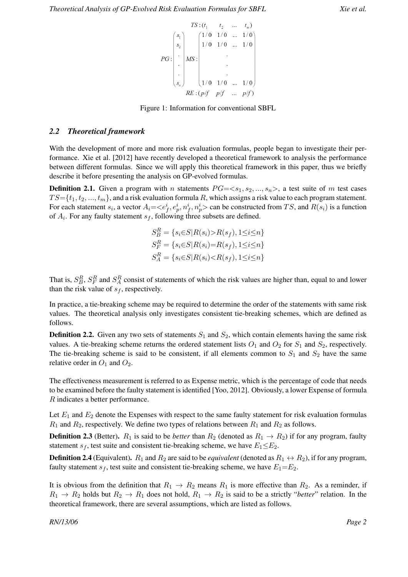

Figure 1: Information for conventional SBFL

### *2.2 Theoretical framework*

With the development of more and more risk evaluation formulas, people began to investigate their performance. Xie et al. [2012] have recently developed a theoretical framework to analysis the performance between different formulas. Since we will apply this theoretical framework in this paper, thus we briefly describe it before presenting the analysis on GP-evolved formulas.

**Definition 2.1.** Given a program with n statements  $PG = \langle s_1, s_2, ..., s_n \rangle$ , a test suite of m test cases  $TS = \{t_1, t_2, ..., t_m\}$ , and a risk evaluation formula R, which assigns a risk value to each program statement. For each statement  $s_i$ , a vector  $A_i = \langle e_f^i, e_p^i, n_f^i, n_p^i \rangle$  can be constructed from TS, and  $R(s_i)$  is a function of  $A_i$ . For any faulty statement  $s_f$ , following three subsets are defined.

$$
S_B^R = \{ s_i \in S | R(s_i) > R(s_f), 1 \le i \le n \}
$$
  
\n
$$
S_F^R = \{ s_i \in S | R(s_i) = R(s_f), 1 \le i \le n \}
$$
  
\n
$$
S_A^R = \{ s_i \in S | R(s_i) < R(s_f), 1 \le i \le n \}
$$

That is,  $S_B^R$ ,  $S_F^R$  and  $S_A^R$  consist of statements of which the risk values are higher than, equal to and lower than the risk value of  $s_f$ , respectively.

In practice, a tie-breaking scheme may be required to determine the order of the statements with same risk values. The theoretical analysis only investigates consistent tie-breaking schemes, which are defined as follows.

**Definition 2.2.** Given any two sets of statements  $S_1$  and  $S_2$ , which contain elements having the same risk values. A tie-breaking scheme returns the ordered statement lists  $O_1$  and  $O_2$  for  $S_1$  and  $S_2$ , respectively. The tie-breaking scheme is said to be consistent, if all elements common to  $S_1$  and  $S_2$  have the same relative order in  $O_1$  and  $O_2$ .

The effectiveness measurement is referred to as Expense metric, which is the percentage of code that needs to be examined before the faulty statement is identified [Yoo, 2012]. Obviously, a lower Expense of formula R indicates a better performance.

Let  $E_1$  and  $E_2$  denote the Expenses with respect to the same faulty statement for risk evaluation formulas  $R_1$  and  $R_2$ , respectively. We define two types of relations between  $R_1$  and  $R_2$  as follows.

**Definition 2.3** (Better).  $R_1$  is said to be *better* than  $R_2$  (denoted as  $R_1 \rightarrow R_2$ ) if for any program, faulty statement  $s_f$ , test suite and consistent tie-breaking scheme, we have  $E_1 \le E_2$ .

**Definition 2.4** (Equivalent).  $R_1$  and  $R_2$  are said to be *equivalent* (denoted as  $R_1 \leftrightarrow R_2$ ), if for any program, faulty statement  $s_f$ , test suite and consistent tie-breaking scheme, we have  $E_1 = E_2$ .

It is obvious from the definition that  $R_1 \rightarrow R_2$  means  $R_1$  is more effective than  $R_2$ . As a reminder, if  $R_1 \rightarrow R_2$  holds but  $R_2 \rightarrow R_1$  does not hold,  $R_1 \rightarrow R_2$  is said to be a strictly "*better*" relation. In the theoretical framework, there are several assumptions, which are listed as follows.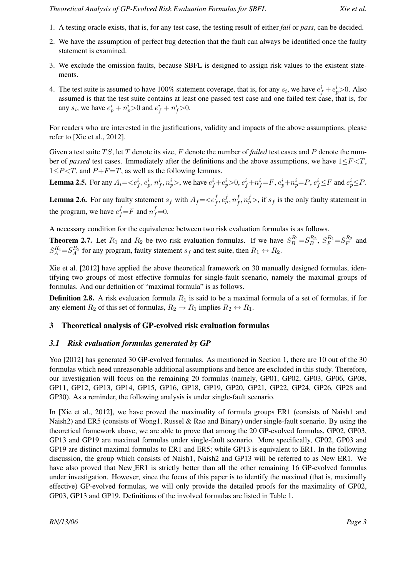- 1. A testing oracle exists, that is, for any test case, the testing result of either *fail* or *pass*, can be decided.
- 2. We have the assumption of perfect bug detection that the fault can always be identified once the faulty statement is examined.
- 3. We exclude the omission faults, because SBFL is designed to assign risk values to the existent statements.
- 4. The test suite is assumed to have 100% statement coverage, that is, for any  $s_i$ , we have  $e_f^i + e_p^i > 0$ . Also assumed is that the test suite contains at least one passed test case and one failed test case, that is, for any  $s_i$ , we have  $e_p^i + n_p^i > 0$  and  $e_f^i + n_f^i > 0$ .

For readers who are interested in the justifications, validity and impacts of the above assumptions, please refer to [Xie et al., 2012].

Given a test suite TS, let T denote its size, F denote the number of *failed* test cases and P denote the number of *passed* test cases. Immediately after the definitions and the above assumptions, we have  $1 \le F \le T$ ,  $1 \leq P \leq T$ , and  $P + F = T$ , as well as the following lemmas.

**Lemma 2.5.** For any  $A_i = \langle e_f^i, e_p^i, n_f^i, n_p^i \rangle$ , we have  $e_f^i + e_p^i \rangle 0$ ,  $e_f^i + n_f^i = F$ ,  $e_p^i + n_p^i = P$ ,  $e_f^i \leq F$  and  $e_p^i \leq P$ .

**Lemma 2.6.** For any faulty statement  $s_f$  with  $A_f = \langle e_f^f, e_p^f, n_f^f \rangle$  $f_f^, n_p^f$ , if  $s_f$  is the only faulty statement in the program, we have  $e_f^f = F$  and  $n_f^f = 0$ .

A necessary condition for the equivalence between two risk evaluation formulas is as follows.

**Theorem 2.7.** Let  $R_1$  and  $R_2$  be two risk evaluation formulas. If we have  $S_B^{R_1} = S_B^{R_2}$ ,  $S_F^{R_1} = S_F^{R_2}$  and  $S_A^{R_1} = S_A^{R_2}$  for any program, faulty statement  $s_f$  and test suite, then  $R_1 \leftrightarrow R_2$ .

Xie et al. [2012] have applied the above theoretical framework on 30 manually designed formulas, identifying two groups of most effective formulas for single-fault scenario, namely the maximal groups of formulas. And our definition of "maximal formula" is as follows.

**Definition 2.8.** A risk evaluation formula  $R_1$  is said to be a maximal formula of a set of formulas, if for any element  $R_2$  of this set of formulas,  $R_2 \to R_1$  implies  $R_2 \leftrightarrow R_1$ .

### 3 Theoretical analysis of GP-evolved risk evaluation formulas

### *3.1 Risk evaluation formulas generated by GP*

Yoo [2012] has generated 30 GP-evolved formulas. As mentioned in Section 1, there are 10 out of the 30 formulas which need unreasonable additional assumptions and hence are excluded in this study. Therefore, our investigation will focus on the remaining 20 formulas (namely, GP01, GP02, GP03, GP06, GP08, GP11, GP12, GP13, GP14, GP15, GP16, GP18, GP19, GP20, GP21, GP22, GP24, GP26, GP28 and GP30). As a reminder, the following analysis is under single-fault scenario.

In [Xie et al., 2012], we have proved the maximality of formula groups ER1 (consists of Naish1 and Naish2) and ER5 (consists of Wong1, Russel & Rao and Binary) under single-fault scenario. By using the theoretical framework above, we are able to prove that among the 20 GP-evolved formulas, GP02, GP03, GP13 and GP19 are maximal formulas under single-fault scenario. More specifically, GP02, GP03 and GP19 are distinct maximal formulas to ER1 and ER5; while GP13 is equivalent to ER1. In the following discussion, the group which consists of Naish1, Naish2 and GP13 will be referred to as New ER1. We have also proved that New ER1 is strictly better than all the other remaining 16 GP-evolved formulas under investigation. However, since the focus of this paper is to identify the maximal (that is, maximally effective) GP-evolved formulas, we will only provide the detailed proofs for the maximality of GP02, GP03, GP13 and GP19. Definitions of the involved formulas are listed in Table 1.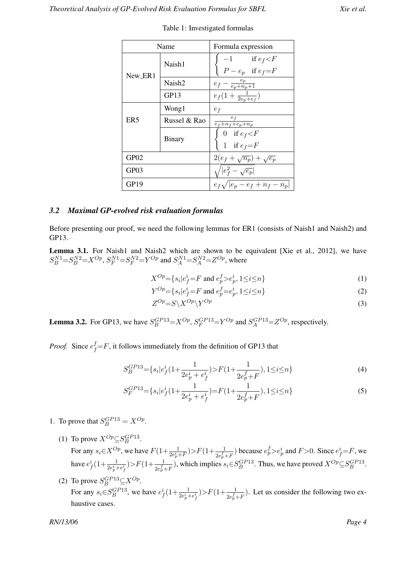| Name             |                    | Formula expression                                        |  |
|------------------|--------------------|-----------------------------------------------------------|--|
| New_ER1          | Naish1             | $-1$ if $e_f < F$<br>$\left( P-e_{p}\right)$ if $e_{f}=F$ |  |
|                  | Naish <sub>2</sub> | $e_f - \frac{e_p}{e_p + n_p + 1}$                         |  |
|                  | GP13               | $e_f(1+\frac{1}{2e_p+e_f})$                               |  |
|                  | Wong1              | $e_f$                                                     |  |
| ER <sub>5</sub>  | Russel & Rao       | $e_f$<br>$\frac{1}{e_f+n_f+e_p+n_p}$                      |  |
|                  | <b>Binary</b>      | 0 if $e_f < F$<br>1 if $e_f = F$                          |  |
| GP02             |                    | $2(e_f + \sqrt{n_p}) + \sqrt{e_p}$                        |  |
| GP03             |                    | $\sqrt{ e_f^2 - \sqrt{e_p} }$                             |  |
| GP <sub>19</sub> |                    | $e_f\sqrt{ e_p-e_f+n_f-n_p }$                             |  |

Table 1: Investigated formulas

### *3.2 Maximal GP-evolved risk evaluation formulas*

Before presenting our proof, we need the following lemmas for ER1 (consists of Naish1 and Naish2) and GP13.

**Lemma 3.1.** For Naish1 and Naish2 which are shown to be equivalent [Xie et al., 2012], we have  $S_B^{N1} = S_B^{N2} = X^{Op}$ ,  $S_F^{N1} = S_F^{N2} = Y^{Op}$  and  $S_A^{N1} = S_A^{N2} = Z^{Op}$ , where

$$
X^{Op} = \{ s_i | e_f^i = F \text{ and } e_p^f > e_p^i, 1 \le i \le n \}
$$
 (1)

$$
Y^{Op} = \{ s_i | e_j^i = F \text{ and } e_p^f = e_p^i, 1 \le i \le n \}
$$
 (2)

$$
Z^{Op} = S \backslash X^{Op} \backslash Y^{Op} \tag{3}
$$

**Lemma 3.2.** For GP13, we have  $S_B^{GP13} = X^{Op}$ ,  $S_F^{GP13} = Y^{Op}$  and  $S_A^{GP13} = Z^{Op}$ , respectively.

*Proof.* Since  $e_f^f = F$ , it follows immediately from the definition of GP13 that

$$
S_B^{GP13} = \{ s_i | e_f^i (1 + \frac{1}{2e_p^i + e_f^i}) \rangle F(1 + \frac{1}{2e_p^f + F}), 1 \le i \le n \}
$$
 (4)

$$
S_F^{GP13} = \{ s_i | e_f^i (1 + \frac{1}{2e_p^i + e_f^i}) = F(1 + \frac{1}{2e_p^f + F}), 1 \le i \le n \}
$$
\n<sup>(5)</sup>

- 1. To prove that  $S_B^{GP13} = X^{Op}$ .
	- (1) To prove  $X^{Op} \subseteq S_B^{GPI3}$ .

For any  $s_i \in X^{Op}$ , we have  $F(1+\frac{1}{2e_p^i+F}) > F(1+\frac{1}{2e_p^f+F})$  because  $e_p^f > e_p^i$  and  $F > 0$ . Since  $e_f^i = F$ , we have  $e_f^i(1+\frac{1}{2e_p^i+e_f^i})>F(1+\frac{1}{2e_p^f+F})$ , which implies  $s_i \in S_B^{GPI3}$ . Thus, we have proved  $X^{Op} \subseteq S_B^{GPI3}$ .

(2) To prove  $S_B^{GP13} \subseteq X^{Op}$ . For any  $s_i \in S_B^{GP13}$ , we have  $e_f^i(1+\frac{1}{2e_p^i+e_f^i}) > F(1+\frac{1}{2e_p^f+F})$ . Let us consider the following two exhaustive cases.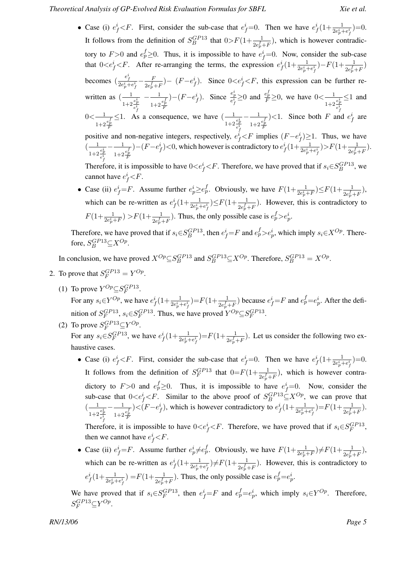• Case (i)  $e_f^i < F$ . First, consider the sub-case that  $e_f^i = 0$ . Then we have  $e_f^i \left(1 + \frac{1}{2e_p^i + e_f^i}\right) = 0$ . It follows from the definition of  $S_B^{GP13}$  that  $0>F(1+\frac{1}{2e_p^f+F})$ , which is however contradictory to  $F > 0$  and  $e_p^f \ge 0$ . Thus, it is impossible to have  $e_f^i = 0$ . Now, consider the sub-case that  $0 < e_f^i < F$ . After re-arranging the terms, the expression  $e_f^i(1+\frac{1}{2e_p^i+e_f^i})-F(1+\frac{1}{2e_p^f+F})$ becomes  $\left(\frac{e_f^i}{2e_p^i+e_f^i}-\frac{F}{2e_p^f}\right)$  $\frac{F}{2e_p^f+F}$ ) –  $(F-e_f^i)$ . Since  $0 < e_f^i < F$ , this expression can be further rewritten as  $\left(-\frac{1}{2}\right)$  $\frac{e_p^i}{1+2\frac{e_p^i}{2}}$  $e^i_f$  $-\frac{1}{1}$  $\frac{e^f_p}{1+2\frac{e^f_p}{F}}$ )–( $F-e_f^i$ ). Since  $\frac{e_p^i}{e_f^i}$ ≥0 and  $\frac{e_p^f}{F}$ ≥0, we have 0< $\frac{1}{1+2}$  $\frac{e^{i}_{p}}{1+2\frac{e^{i}_{p}}{x}}$  $e^i_f$  $≤1$  and  $0< -1$  $\frac{e_p^f}{1+2\frac{e_p^f}{F}}$  $\leq$ 1. As a consequence, we have  $\left(\frac{-1}{2}\right)$  $\frac{e_p^i}{1+2\frac{e_p^i}{i}}$  $\overline{e}^i$ f  $-\frac{1}{1}$  $\frac{e_p^f}{1+2\frac{e_p^f}{F}}$  $\geq$  1. Since both F and  $e_f^i$  are positive and non-negative integers, respectively,  $e_f^i < F$  implies  $(F - e_f^i) \ge 1$ . Thus, we have  $\left( \frac{1}{\sqrt{2}}\right)$  $-\frac{1}{1}$ )–(F–e<sup>i</sup><sub>f</sub>)<0, which however is contradictory to  $e_f^i(1+\frac{1}{2e_p^i+e_f^i})>F(1+\frac{1}{2e_p^f+F}).$ 

 $\overline{e^i}$  $\frac{e_p^f}{1+2\frac{e_p^f}{F}}$ Therefore, it is impossible to have  $0 < e_f^i < F$ . Therefore, we have proved that if  $s_i \in S_B^{GP13}$ , we cannot have  $e_f^i$  < F.

• Case (ii)  $e_f^i = F$ . Assume further  $e_p^i \geq e_p^f$ . Obviously, we have  $F(1 + \frac{1}{2e_p^i + F}) \leq F(1 + \frac{1}{2e_p^f + F})$ , which can be re-written as  $e_f^i(1+\frac{1}{2e_p^i+e_f^i}) \leq F(1+\frac{1}{2e_p^i+F})$ . However, this is contradictory to  $F(1+\frac{1}{2e_p^i+F}) > F(1+\frac{1}{2e_p^f+F})$ . Thus, the only possible case is  $e_p^f > e_p^i$ .

Therefore, we have proved that if  $s_i \in S_B^{GP13}$ , then  $e^i_f = F$  and  $e^f_p > e^i_p$ , which imply  $s_i \in X^{Op}$ . Therefore,  $S_B^{GP13} \subseteq X^{Op}$ .

In conclusion, we have proved  $X^{Op} \subseteq S_B^{GP13}$  and  $S_B^{GP13} \subseteq X^{Op}$ . Therefore,  $S_B^{GP13} = X^{Op}$ .

2. To prove that  $S_F^{GP13} = Y^{Op}$ .

 $\frac{e^{i}_{p}}{1+2\frac{e^{i}_{p}}{i}}$ 

(1) To prove  $Y^{Op} \subseteq S_F^{GPI3}$ .

For any  $s_i \in Y^{Op}$ , we have  $e^i_f(1+\frac{1}{2e^i_p+e^i_f})=F(1+\frac{1}{2e^f_p+F})$  because  $e^i_f=F$  and  $e^f_p=e^i_p$ . After the definition of  $S_F^{GP13}$ ,  $s_i \in S_F^{GP13}$ . Thus, we have proved  $Y^{Op} \subseteq S_F^{GP13}$ .

- (2) To prove  $S_F^{GPI3} \subseteq Y^{Op}$ . For any  $s_i \in S_F^{GP13}$ , we have  $e_f^i(1+\frac{1}{2e_p^i+e_f^i})=F(1+\frac{1}{2e_p^f+F})$ . Let us consider the following two exhaustive cases.
	- Case (i)  $e_f^i < F$ . First, consider the sub-case that  $e_f^i = 0$ . Then we have  $e_f^i \left(1 + \frac{1}{2e_p^i + e_f^i}\right) = 0$ . It follows from the definition of  $S_F^{GP13}$  that  $0=F(1+\frac{1}{2e_p^f+F})$ , which is however contradictory to  $F > 0$  and  $e_p^f \ge 0$ . Thus, it is impossible to have  $e_f^i = 0$ . Now, consider the sub-case that  $0 < e_f^i < F$ . Similar to the above proof of  $S_B^{GP13} \subseteq X^{Op}$ , we can prove that  $\left( \frac{1}{\sqrt{2}}\right)$  $\frac{e_p^i}{1+2\frac{e_p^i}{2}}$  $\overline{e^i}$  $-\frac{1}{1}$  $\frac{e_p^f}{1+2\frac{e_p^f}{F}}$ ) < (F-e<sup>i</sup><sub>f</sub>), which is however contradictory to  $e_f^i(1+\frac{1}{2e_p^i+e_f^i})=F(1+\frac{1}{2e_p^f+F}).$

Therefore, it is impossible to have  $0 < e_f^i < F$ . Therefore, we have proved that if  $s_i \in S_F^{GP13}$ , then we cannot have  $e_f^i < F$ .

• Case (ii)  $e_f^i = F$ . Assume further  $e_p^i \neq e_p^f$ . Obviously, we have  $F(1 + \frac{1}{2e_p^i + F}) \neq F(1 + \frac{1}{2e_p^f + F})$ , which can be re-written as  $e_f^i(1+\frac{1}{2e_p^i+e_f^i})\neq F(1+\frac{1}{2e_p^i+F})$ . However, this is contradictory to  $e_f^i(1+\frac{1}{2e_p^i+e_f^i})=F(1+\frac{1}{2e_p^f+F})$ . Thus, the only possible case is  $e_p^f=e_p^i$ .

We have proved that if  $s_i \in S_F^{GP13}$ , then  $e_f^i = F$  and  $e_p^f = e_p^i$ , which imply  $s_i \in Y^{Op}$ . Therefore,  $S_F^{GP13}\subseteq Y^{Op}.$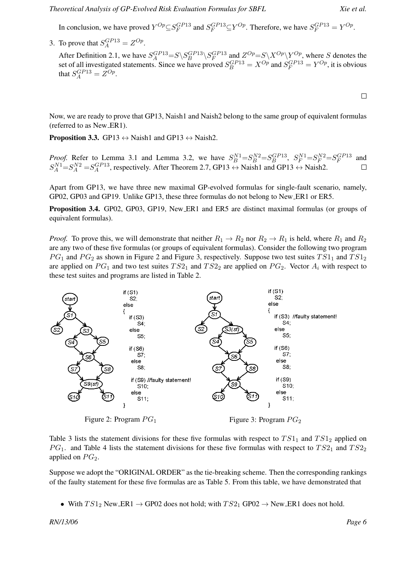In conclusion, we have proved  $Y^{Op} \subseteq S_F^{GP13}$  and  $S_F^{GP13} \subseteq Y^{Op}$ . Therefore, we have  $S_F^{GP13} = Y^{Op}$ .

3. To prove that  $S_A^{GP13} = Z^{Op}$ .

After Definition 2.1, we have  $S_A^{GP13} = S \setminus S_B^{GP13} \setminus S_F^{GP13}$  and  $Z^{Op} = S \setminus X^{Op} \setminus Y^{Op}$ , where S denotes the set of all investigated statements. Since we have proved  $S_B^{GP13} = X^{Op}$  and  $S_F^{GP13} = Y^{Op}$ , it is obvious that  $S_A^{GP13} = Z^{Op}$ .

 $\Box$ 

Now, we are ready to prove that GP13, Naish1 and Naish2 belong to the same group of equivalent formulas (referred to as New ER1).

**Proposition 3.3.** GP13  $\leftrightarrow$  Naish1 and GP13  $\leftrightarrow$  Naish2.

*Proof.* Refer to Lemma 3.1 and Lemma 3.2, we have  $S_B^{N1} = S_B^{N2} = S_B^{GPI3}$ ,  $S_F^{N1} = S_F^{N2} = S_F^{GPI3}$  and  $S_A^{N1} = S_A^{N2} = S_A^{GP13}$ , respectively. After Theorem 2.7, GP13  $\leftrightarrow$  Naish1 and GP13  $\leftrightarrow$  Naish2.  $\Box$ 

Apart from GP13, we have three new maximal GP-evolved formulas for single-fault scenario, namely, GP02, GP03 and GP19. Unlike GP13, these three formulas do not belong to New ER1 or ER5.

Proposition 3.4. GP02, GP03, GP19, New ER1 and ER5 are distinct maximal formulas (or groups of equivalent formulas).

*Proof.* To prove this, we will demonstrate that neither  $R_1 \rightarrow R_2$  nor  $R_2 \rightarrow R_1$  is held, where  $R_1$  and  $R_2$ are any two of these five formulas (or groups of equivalent formulas). Consider the following two program  $PG<sub>1</sub>$  and  $PG<sub>2</sub>$  as shown in Figure 2 and Figure 3, respectively. Suppose two test suites  $TS1<sub>1</sub>$  and  $TS1<sub>2</sub>$ are applied on  $PG_1$  and two test suites  $TS2_1$  and  $TS2_2$  are applied on  $PG_2$ . Vector  $A_i$  with respect to these test suites and programs are listed in Table 2.



Table 3 lists the statement divisions for these five formulas with respect to  $TS1<sub>1</sub>$  and  $TS1<sub>2</sub>$  applied on  $PG<sub>1</sub>$ . and Table 4 lists the statement divisions for these five formulas with respect to  $TS2<sub>1</sub>$  and  $TS2<sub>2</sub>$ applied on  $PG<sub>2</sub>$ .

Suppose we adopt the "ORIGINAL ORDER" as the tie-breaking scheme. Then the corresponding rankings of the faulty statement for these five formulas are as Table 5. From this table, we have demonstrated that

• With  $TS1_2$  New ER1  $\rightarrow$  GP02 does not hold; with  $TS2_1$  GP02  $\rightarrow$  New ER1 does not hold.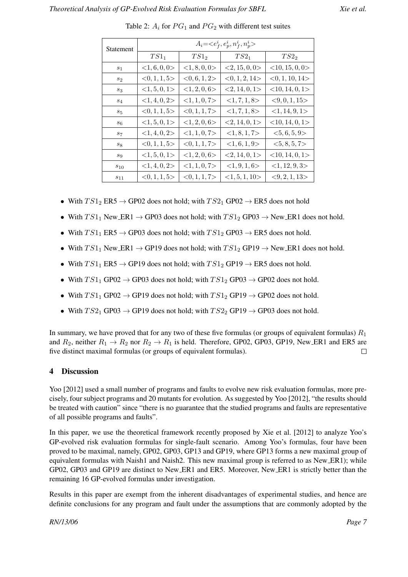| Statement | $A_i = $        |                  |               |                      |
|-----------|-----------------|------------------|---------------|----------------------|
|           | $TS1_1$         | TS1 <sub>2</sub> | $TS2_1$       | TS2 <sub>2</sub>     |
| $s_1$     | <1, 6, 0, 0>    | <1, 8, 0, 0>     | <2, 15, 0, 0> | $<$ 10, 15, 0, 0>    |
| $s_2$     | <0, 1, 1, 5>    | <0, 6, 1, 2>     | <0, 1, 2, 14> | $<$ 0, 1, 10, 14 $>$ |
| $s_3$     | <1, 5, 0, 1>    | <1, 2, 0, 6>     | <2, 14, 0, 1> | $<$ 10, 14, 0, 1>    |
| $s_4$     | <1, 4, 0, 2>    | <1, 1, 0, 7>     | <1, 7, 1, 8>  | $<$ 9, 0, 1, 15 $>$  |
| $s_5$     | <0, 1, 1, 5>    | <0, 1, 1, 7>     | <1, 7, 1, 8>  | <1, 14, 9, 1>        |
| $s_6$     | <1, 5, 0, 1>    | <1, 2, 0, 6>     | <2, 14, 0, 1> | $<$ 10, 14, 0, 1>    |
| $s_7$     | $<$ 1, 4, 0, 2> | <1, 1, 0, 7>     | <1, 8, 1, 7>  | $<$ 5, 6, 5, 9>      |
| $s_8$     | <0, 1, 1, 5>    | <0, 1, 1, 7>     | <1, 6, 1, 9>  | <5, 8, 5, 7>         |
| $s_9$     | <1, 5, 0, 1>    | <1, 2, 0, 6>     | <2, 14, 0, 1> | $<$ 10, 14, 0, 1>    |
| $s_{10}$  | <1, 4, 0, 2>    | <1, 1, 0, 7>     | <1, 9, 1, 6>  | <1, 12, 9, 3>        |
| $s_{11}$  | <0, 1, 1, 5>    | <0, 1, 1, 7>     | <1, 5, 1, 10> | <, 2, 1, 13          |

Table 2:  $A_i$  for  $PG_1$  and  $PG_2$  with different test suites

- With  $TS1_2$  ER5  $\rightarrow$  GP02 does not hold; with  $TS2_1$  GP02  $\rightarrow$  ER5 does not hold
- With  $TS1_1$  New ER1  $\rightarrow$  GP03 does not hold; with  $TS1_2$  GP03  $\rightarrow$  New ER1 does not hold.
- With  $TS1_1$  ER5  $\rightarrow$  GP03 does not hold; with  $TS1_2$  GP03  $\rightarrow$  ER5 does not hold.
- With  $TS1_1$  New ER1  $\rightarrow$  GP19 does not hold; with  $TS1_2$  GP19  $\rightarrow$  New ER1 does not hold.
- With  $TS1_1$  ER5  $\rightarrow$  GP19 does not hold; with  $TS1_2$  GP19  $\rightarrow$  ER5 does not hold.
- With  $TS1_1$  GP02  $\rightarrow$  GP03 does not hold; with  $TS1_2$  GP03  $\rightarrow$  GP02 does not hold.
- With  $TS1_1$  GP02  $\rightarrow$  GP19 does not hold; with  $TS1_2$  GP19  $\rightarrow$  GP02 does not hold.
- With  $TS2_1$  GP03  $\rightarrow$  GP19 does not hold; with  $TS2_2$  GP19  $\rightarrow$  GP03 does not hold.

In summary, we have proved that for any two of these five formulas (or groups of equivalent formulas)  $R_1$ and  $R_2$ , neither  $R_1 \rightarrow R_2$  nor  $R_2 \rightarrow R_1$  is held. Therefore, GP02, GP03, GP19, New ER1 and ER5 are five distinct maximal formulas (or groups of equivalent formulas).  $\Box$ 

### 4 Discussion

Yoo [2012] used a small number of programs and faults to evolve new risk evaluation formulas, more precisely, four subject programs and 20 mutants for evolution. As suggested by Yoo [2012], "the results should be treated with caution" since "there is no guarantee that the studied programs and faults are representative of all possible programs and faults".

In this paper, we use the theoretical framework recently proposed by Xie et al. [2012] to analyze Yoo's GP-evolved risk evaluation formulas for single-fault scenario. Among Yoo's formulas, four have been proved to be maximal, namely, GP02, GP03, GP13 and GP19, where GP13 forms a new maximal group of equivalent formulas with Naish1 and Naish2. This new maximal group is referred to as New ER1); while GP02, GP03 and GP19 are distinct to New ER1 and ER5. Moreover, New ER1 is strictly better than the remaining 16 GP-evolved formulas under investigation.

Results in this paper are exempt from the inherent disadvantages of experimental studies, and hence are definite conclusions for any program and fault under the assumptions that are commonly adopted by the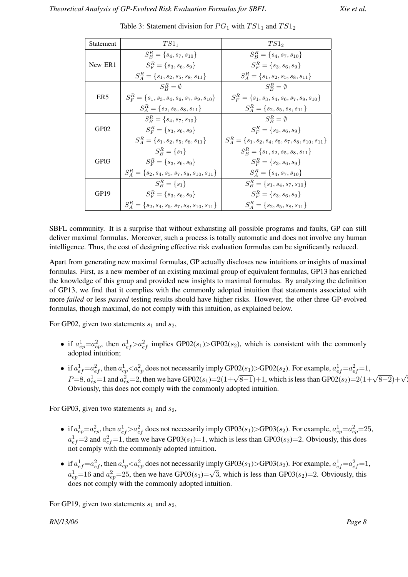| Statement       | $TS1_1$                                                | TS1 <sub>2</sub>                                            |  |
|-----------------|--------------------------------------------------------|-------------------------------------------------------------|--|
|                 | $S_R^R = \{s_4, s_7, s_{10}\}\$                        | $S_R^R = \{s_4, s_7, s_{10}\}\$                             |  |
| New_ER1         | $S_F^R = \{s_3, s_6, s_9\}$                            | $S_F^R = \{s_3, s_6, s_9\}$                                 |  |
|                 | $S_{4}^{R} = \{s_1, s_2, s_5, s_8, s_{11}\}\$          | $S_A^R = \{s_1, s_2, s_5, s_8, s_{11}\}\$                   |  |
| ER <sub>5</sub> | $S_P^R = \emptyset$                                    | $S_P^R = \emptyset$                                         |  |
|                 | $S_F^R = \{s_1, s_3, s_4, s_6, s_7, s_9, s_{10}\}\$    | $S_F^R = \{s_1, s_3, s_4, s_6, s_7, s_9, s_{10}\}\$         |  |
|                 | $S_4^R = \{s_2, s_5, s_8, s_{11}\}\$                   | $S_A^R = \{s_2, s_5, s_8, s_{11}\}\$                        |  |
| GP02            | $S_R^R = \{s_4, s_7, s_{10}\}\$                        | $S_P^R = \emptyset$                                         |  |
|                 | $S_F^R = \{s_3, s_6, s_9\}$                            | $S_F^R = \{s_3, s_6, s_9\}$                                 |  |
|                 | $S_A^R = \{s_1, s_2, s_5, s_8, s_{11}\}\$              | $S_A^R = \{s_1, s_2, s_4, s_5, s_7, s_8, s_{10}, s_{11}\}\$ |  |
| GP03            | $S_{\rm B}^R = \{s_1\}$                                | $S_R^R = \{s_1, s_2, s_5, s_8, s_{11}\}\$                   |  |
|                 | $S_F^R = \{s_3, s_6, s_9\}$                            | $S_F^R = \{s_3, s_6, s_9\}$                                 |  |
|                 | $S_A^R = \{s_2, s_4, s_5, s_7, s_8, s_{10}, s_{11}\}\$ | $S_A^R = \{s_4, s_7, s_{10}\}\$                             |  |
| GP19            | $S_P^R = \{s_1\}$                                      | $S_R^R = \{s_1, s_4, s_7, s_{10}\}\$                        |  |
|                 | $S_F^R = \{s_3, s_6, s_9\}$                            | $S_F^R = \{s_3, s_6, s_9\}$                                 |  |
|                 | $S_A^R = \{s_2, s_4, s_5, s_7, s_8, s_{10}, s_{11}\}\$ | $S_4^R = \{s_2, s_5, s_8, s_{11}\}\$                        |  |

Table 3: Statement division for  $PG_1$  with  $TS1_1$  and  $TS1_2$ 

SBFL community. It is a surprise that without exhausting all possible programs and faults, GP can still deliver maximal formulas. Moreover, such a process is totally automatic and does not involve any human intelligence. Thus, the cost of designing effective risk evaluation formulas can be significantly reduced.

Apart from generating new maximal formulas, GP actually discloses new intuitions or insights of maximal formulas. First, as a new member of an existing maximal group of equivalent formulas, GP13 has enriched the knowledge of this group and provided new insights to maximal formulas. By analyzing the definition of GP13, we find that it complies with the commonly adopted intuition that statements associated with more *failed* or less *passed* testing results should have higher risks. However, the other three GP-evolved formulas, though maximal, do not comply with this intuition, as explained below.

For GP02, given two statements  $s_1$  and  $s_2$ ,

- if  $a_{ep}^1 = a_{ep}^2$ , then  $a_{ef}^1 > a_{ef}^2$  implies GP02(s<sub>1</sub>)>GP02(s<sub>2</sub>), which is consistent with the commonly adopted intuition:
- if  $a_{ef}^1 = a_{ef}^2$ , then  $a_{ep}^1 < a_{ep}^2$  does not necessarily imply GP02(s<sub>1</sub>)>GP02(s<sub>2</sub>). For example,  $a_{ef}^1 = a_{ef}^2 = 1$ ,  $P=8$ ,  $a_{ep}^1=1$  and  $a_{ep}^2=2$ , then we have GP02(s<sub>1</sub>)=2(1+ $\sqrt{8-1}$ )+1, which is less than GP02(s<sub>2</sub>)=2(1+ $\sqrt{8-2}$ )+ $\sqrt{2}$ Obviously, this does not comply with the commonly adopted intuition.

For GP03, given two statements  $s_1$  and  $s_2$ ,

- if  $a_{ep}^1=a_{ep}^2$ , then  $a_{ef}^1>a_{ef}^2$  does not necessarily imply GP03(s<sub>1</sub>)>GP03(s<sub>2</sub>). For example,  $a_{ep}^1=a_{ep}^2=25$ ,  $a_{ef}^1$ =2 and  $a_{ef}^2$ =1, then we have GP03(s<sub>1</sub>)=1, which is less than GP03(s<sub>2</sub>)=2. Obviously, this does not comply with the commonly adopted intuition.
- if  $a_{ef}^1 = a_{ef}^2$ , then  $a_{ep}^1 < a_{ep}^2$  does not necessarily imply GP03(s<sub>1</sub>)>GP03(s<sub>2</sub>). For example,  $a_{ef}^1 = a_{ef}^2 = 1$ ,  $a_{ep}^1$ =16 and  $a_{ep}^2$ =25, then we have GP03(s<sub>1</sub>)= $\sqrt{3}$ , which is less than GP03(s<sub>2</sub>)=2. Obviously, this does not comply with the commonly adopted intuition.

For GP19, given two statements  $s_1$  and  $s_2$ ,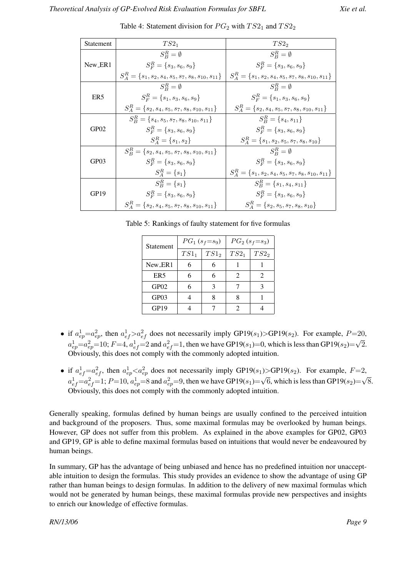| Statement        | $TS2_1$                                                     | $TS2_2$                                                     |
|------------------|-------------------------------------------------------------|-------------------------------------------------------------|
|                  | $S^R_P = \emptyset$                                         | $S^R_P = \emptyset$                                         |
| New_ER1          | $S_F^R = \{s_3, s_6, s_9\}$                                 | $S_F^R = \{s_3, s_6, s_9\}$                                 |
|                  | $S_A^R = \{s_1, s_2, s_4, s_5, s_7, s_8, s_{10}, s_{11}\}\$ | $S_A^R = \{s_1, s_2, s_4, s_5, s_7, s_8, s_{10}, s_{11}\}\$ |
| ER <sub>5</sub>  | $S_P^R = \emptyset$                                         | $S_P^R = \emptyset$                                         |
|                  | $S_F^R = \{s_1, s_3, s_6, s_9\}$                            | $S_F^R = \{s_1, s_3, s_6, s_9\}$                            |
|                  | $S_A^R = \{s_2, s_4, s_5, s_7, s_8, s_{10}, s_{11}\}\$      | $S_A^R = \{s_2, s_4, s_5, s_7, s_8, s_{10}, s_{11}\}\$      |
| GP <sub>02</sub> | $S_R^R = \{s_4, s_5, s_7, s_8, s_{10}, s_{11}\}\$           | $S_B^R = \{s_4, s_{11}\}\$                                  |
|                  | $S_F^R = \{s_3, s_6, s_9\}$                                 | $S_F^R = \{s_3, s_6, s_9\}$                                 |
|                  | $S_A^R = \{s_1, s_2\}$                                      | $S_A^R = \{s_1, s_2, s_5, s_7, s_8, s_{10}\}\$              |
| GP03             | $S_R^R = \{s_2, s_4, s_5, s_7, s_8, s_{10}, s_{11}\}\$      | $S_P^R = \emptyset$                                         |
|                  | $S_F^R = \{s_3, s_6, s_9\}$                                 | $S_F^R = \{s_3, s_6, s_9\}$                                 |
|                  | $S_A^R = \{s_1\}$                                           | $S_A^R = \{s_1, s_2, s_4, s_5, s_7, s_8, s_{10}, s_{11}\}\$ |
| GP <sub>19</sub> | $S_R^R = \{s_1\}$                                           | $S_R^R = \{s_1, s_4, s_{11}\}\$                             |
|                  | $S_F^R = \{s_3, s_6, s_9\}$                                 | $S_F^R = \{s_3, s_6, s_9\}$                                 |
|                  | $S_A^R = \{s_2, s_4, s_5, s_7, s_8, s_{10}, s_{11}\}\$      | $S_A^R = \{s_2, s_5, s_7, s_8, s_{10}\}\$                   |

Table 4: Statement division for  $PG_2$  with  $TS2_1$  and  $TS2_2$ 

Table 5: Rankings of faulty statement for five formulas

| Statement        | $PG_1(s_f=s_9)$ |                  | $PG_{2}(s_{f}=s_{3})$ |                  |
|------------------|-----------------|------------------|-----------------------|------------------|
|                  | $TS1_1$         | TS1 <sub>2</sub> | $TS2_1$               | TS2 <sub>2</sub> |
| New ER1          |                 | 6                |                       |                  |
| ER <sub>5</sub>  |                 | 6                | $\mathfrak{D}$        | 2                |
| GP <sub>02</sub> |                 | 3                |                       |                  |
| GP03             |                 | Ջ                |                       |                  |
| GP19             |                 |                  | 2                     |                  |

- if  $a_{ep}^1 = a_{ep}^2$ , then  $a_{ef}^1 > a_{ef}^2$  does not necessarily imply GP19(s<sub>1</sub>)>GP19(s<sub>2</sub>). For example, P=20,  $a_{ep}^1 = a_{ep}^2 = 10$ ;  $F = 4$ ,  $a_{ef}^1 = 2$  and  $a_{ef}^2 = 1$ , then we have GP19(s<sub>1</sub>)=0, which is less than GP19(s<sub>2</sub>)= √ 2. Obviously, this does not comply with the commonly adopted intuition.
- if  $a_{ef}^1 = a_{ef}^2$ , then  $a_{ep}^1 < a_{ep}^2$  does not necessarily imply GP19(s<sub>1</sub>)>GP19(s<sub>2</sub>). For example,  $F=2$ ,  $a_{ef}^{1}=a_{ef}^{2}=1$ ;  $P=10$ ,  $a_{ep}^{1}=8$  and  $a_{ep}^{2}=9$ , then we have GP19( $s_{1}$ )= √ 6, which is less than GP19 $(s_2)$ = √ 8. Obviously, this does not comply with the commonly adopted intuition.

Generally speaking, formulas defined by human beings are usually confined to the perceived intuition and background of the proposers. Thus, some maximal formulas may be overlooked by human beings. However, GP does not suffer from this problem. As explained in the above examples for GP02, GP03 and GP19, GP is able to define maximal formulas based on intuitions that would never be endeavoured by human beings.

In summary, GP has the advantage of being unbiased and hence has no predefined intuition nor unacceptable intuition to design the formulas. This study provides an evidence to show the advantage of using GP rather than human beings to design formulas. In addition to the delivery of new maximal formulas which would not be generated by human beings, these maximal formulas provide new perspectives and insights to enrich our knowledge of effective formulas.